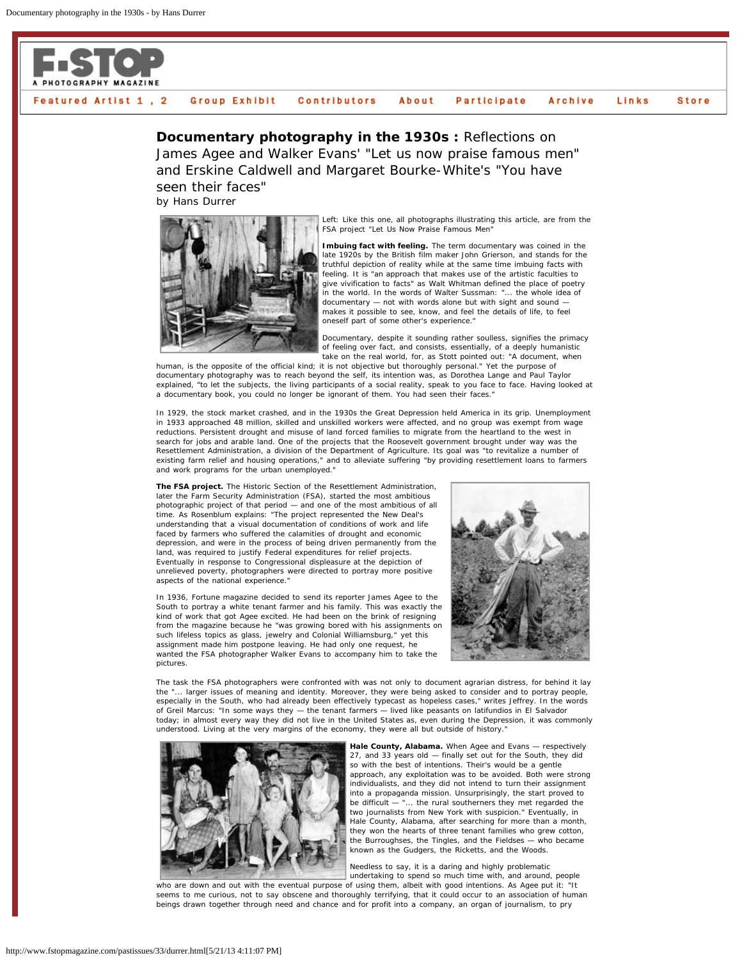

## Featured Artist 1, 2 **Group Exhibit** Contributors About Participate Archive Links **Store**

**Documentary photography in the 1930s : Reflections on** James Agee and Walker Evans' "Let us now praise famous men" and Erskine Caldwell and Margaret Bourke-White's "You have seen their faces"

by Hans Durrer



Left: Like this one, all photographs illustrating this article, are from the FSA project "Let Us Now Praise Famous Men

**Imbuing fact with feeling.** The term documentary was coined in the late 1920s by the British film maker John Grierson, and stands for the truthful depiction of reality while at the same time imbuing facts with feeling. It is "an approach that makes use of the artistic faculties to give vivification to facts" as Walt Whitman defined the place of poetry in the world. In the words of Walter Sussman: "... the whole idea of documentary — not with words alone but with sight and sound makes it possible to see, know, and feel the details of life, to feel oneself part of some other's experience."

Documentary, despite it sounding rather soulless, signifies the primacy of feeling over fact, and consists, essentially, of a deeply humanistic take on the real world, for, as Stott pointed out: "A document, when

human, is the opposite of the official kind; it is not objective but thoroughly personal." Yet the purpose of documentary photography was to reach beyond the self, its intention was, as Dorothea Lange and Paul Taylor explained, "to let the subjects, the living participants of a social reality, speak to you face to face. Having looked at a documentary book, you could no longer be ignorant of them. You had seen their faces."

In 1929, the stock market crashed, and in the 1930s the Great Depression held America in its grip. Unemployment in 1933 approached 48 million, skilled and unskilled workers were affected, and no group was exempt from wage reductions. Persistent drought and misuse of land forced families to migrate from the heartland to the west in search for jobs and arable land. One of the projects that the Roosevelt government brought under way was the Resettlement Administration, a division of the Department of Agriculture. Its goal was "to revitalize a number of existing farm relief and housing operations," and to alleviate suffering "by providing resettlement loans to farmers and work programs for the urban unemployed."

**The FSA project.** The Historic Section of the Resettlement Administration, later the Farm Security Administration (FSA), started the most ambitious photographic project of that period — and one of the most ambitious of all time. As Rosenblum explains: "The project represented the New Deal's understanding that a visual documentation of conditions of work and life faced by farmers who suffered the calamities of drought and economic depression, and were in the process of being driven permanently from the land, was required to justify Federal expenditures for relief projects. Eventually in response to Congressional displeasure at the depiction of unrelieved poverty, photographers were directed to portray more positive aspects of the national experience."

In 1936, Fortune magazine decided to send its reporter James Agee to the South to portray a white tenant farmer and his family. This was exactly the kind of work that got Agee excited. He had been on the brink of resigning from the magazine because he "was growing bored with his assignments on such lifeless topics as glass, jewelry and Colonial Williamsburg," yet this assignment made him postpone leaving. He had only one request, he wanted the FSA photographer Walker Evans to accompany him to take the pictures.



The task the FSA photographers were confronted with was not only to document agrarian distress, for behind it lay the "... larger issues of meaning and identity. Moreover, they were being asked to consider and to portray people, especially in the South, who had already been effectively typecast as hopeless cases," writes Jeffrey. In the words of Greil Marcus: "In some ways they — the tenant farmers — lived like peasants on latifundios in El Salvador today; in almost every way they did not live in the United States as, even during the Depression, it was commonly understood. Living at the very margins of the economy, they were all but outside of history.



**Hale County, Alabama.** When Agee and Evans — respectively 27, and 33 years old — finally set out for the South, they did so with the best of intentions. Their's would be a gentle approach, any exploitation was to be avoided. Both were strong individualists, and they did not intend to turn their assignment into a propaganda mission. Unsurprisingly, the start proved to be difficult — "... the rural southerners they met regarded the two journalists from New York with suspicion." Eventually, in Hale County, Alabama, after searching for more than a month, they won the hearts of three tenant families who grew cotton, the Burroughses, the Tingles, and the Fieldses — who became known as the Gudgers, the Ricketts, and the Woods.

Needless to say, it is a daring and highly problematic undertaking to spend so much time with, and around, people

who are down and out with the eventual purpose of using them, albeit with good intentions. As Agee put it: "It seems to me curious, not to say obscene and thoroughly terrifying, that it could occur to an association of human beings drawn together through need and chance and for profit into a company, an organ of journalism, to pry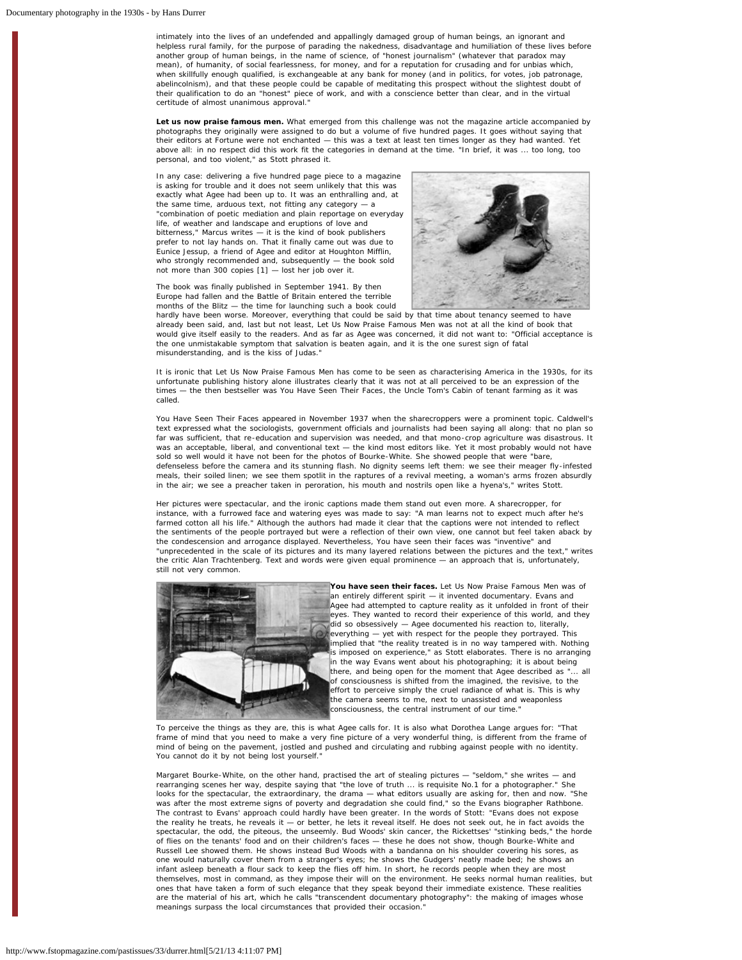intimately into the lives of an undefended and appallingly damaged group of human beings, an ignorant and helpless rural family, for the purpose of parading the nakedness, disadvantage and humiliation of these lives before another group of human beings, in the name of science, of "honest journalism" (whatever that paradox may mean), of humanity, of social fearlessness, for money, and for a reputation for crusading and for unbias which, when skillfully enough qualified, is exchangeable at any bank for money (and in politics, for votes, job patronage abelincolnism), and that these people could be capable of meditating this prospect without the slightest doubt of their qualification to do an "honest" piece of work, and with a conscience better than clear, and in the virtual certitude of almost unanimous approval.

**Let us now praise famous men.** What emerged from this challenge was not the magazine article accompanied by photographs they originally were assigned to do but a volume of five hundred pages. It goes without saying that their editors at *Fortune* were not enchanted — this was a text at least ten times longer as they had wanted. Yet above all: in no respect did this work fit the categories in demand at the time. "In brief, it was ... too long, too personal, and too violent," as Stott phrased it.

In any case: delivering a five hundred page piece to a magazine is asking for trouble and it does not seem unlikely that this was exactly what Agee had been up to. It was an enthralling and, at the same time, arduous text, not fitting any category -"combination of poetic mediation and plain reportage on everyday life, of weather and landscape and eruptions of love and bitterness," Marcus writes — it is the kind of book publishers prefer to not lay hands on. That it finally came out was due to Eunice Jessup, a friend of Agee and editor at Houghton Mifflin, who strongly recommended and, subsequently — the book sold not more than 300 copies [1] — lost her job over it.

The book was finally published in September 1941. By then Europe had fallen and the Battle of Britain entered the terrible months of the Blitz — the time for launching such a book could



hardly have been worse. Moreover, everything that could be said by that time about tenancy seemed to have already been said, and, last but not least, *Let Us Now Praise Famous Men* was not at all the kind of book that would give itself easily to the readers. And as far as Agee was concerned, it did not want to: "Official acceptance is the one unmistakable symptom that salvation is beaten again, and it is the one surest sign of fatal misunderstanding, and is the kiss of Judas."

It is ironic that *Let Us Now Praise Famous Men* has come to be seen as characterising America in the 1930s, for its unfortunate publishing history alone illustrates clearly that it was not at all perceived to be an expression of the times — the then bestseller was *You Have Seen Their Faces*, the *Uncle Tom's Cabin* of tenant farming as it was called.

*You Have Seen Their Faces* appeared in November 1937 when the sharecroppers were a prominent topic. Caldwell's text expressed what the sociologists, government officials and journalists had been saying all along: that no plan so far was sufficient, that re-education and supervision was needed, and that mono-crop agriculture was disastrous. It was an acceptable, liberal, and conventional text — the kind most editors like. Yet it most probably would not have sold so well would it have not been for the photos of Bourke-White. She showed people that were "bare, defenseless before the camera and its stunning flash. No dignity seems left them: we see their meager fly-infested meals, their soiled linen; we see them spotlit in the raptures of a revival meeting, a woman's arms frozen absurdly in the air; we see a preacher taken in peroration, his mouth and nostrils open like a hyena's," writes Stott.

Her pictures were spectacular, and the ironic captions made them stand out even more. A sharecropper, for instance, with a furrowed face and watering eyes was made to say: "A man learns not to expect much after he's farmed cotton all his life." Although the authors had made it clear that the captions were not intended to reflect the sentiments of the people portrayed but were a reflection of their own view, one cannot but feel taken aback by the condescension and arrogance displayed. Nevertheless, You have seen their faces was "inventive" and "unprecedented in the scale of its pictures and its many layered relations between the pictures and the text," writes the critic Alan Trachtenberg. Text and words were given equal prominence — an approach that is, unfortunately, still not very common.



**You have seen their faces.** *Let Us Now Praise Famous Men* was of an entirely different spirit — it invented documentary. Evans and Agee had attempted to capture reality as it unfolded in front of their eyes. They wanted to record their experience of this world, and they did so obsessively — Agee documented his reaction to, literally, everything — yet with respect for the people they portrayed. This implied that "the reality treated is in no way tampered with. Nothing is imposed on experience," as Stott elaborates. There is no arranging in the way Evans went about his photographing; it is about being there, and being open for the moment that Agee described as ". of consciousness is shifted from the imagined, the revisive, to the effort to perceive simply the cruel radiance of what is. This is why the camera seems to me, next to unassisted and weaponless consciousness, the central instrument of our time.

To perceive the things as they are, this is what Agee calls for. It is also what Dorothea Lange argues for: "That frame of mind that you need to make a very fine picture of a very wonderful thing, is different from the frame of mind of being on the pavement, jostled and pushed and circulating and rubbing against people with no identity. You cannot do it by not being lost yourself."

Margaret Bourke-White, on the other hand, practised the art of stealing pictures — "seldom," she writes — and rearranging scenes her way, despite saying that "the love of truth ... is requisite No.1 for a photographer." She looks for the spectacular, the extraordinary, the drama — what editors usually are asking for, then and now. "She was after the most extreme signs of poverty and degradation she could find," so the Evans biographer Rathbone. The contrast to Evans' approach could hardly have been greater. In the words of Stott: "Evans does not *expose* the reality he treats, he reveals it — or better, he lets it reveal itself. He does not seek out, he in fact avoids the spectacular, the odd, the piteous, the unseemly. Bud Woods' skin cancer, the Rickettses' "stinking beds," the horde of flies on the tenants' food and on their children's faces — these he does not show, though Bourke-White and Russell Lee showed them. He shows instead Bud Woods with a bandanna on his shoulder covering his sores, as one would naturally cover them from a stranger's eyes; he shows the Gudgers' neatly made bed; he shows an infant asleep beneath a flour sack to keep the flies off him. In short, he records people when they are most themselves, most in command, as they impose their will on the environment. He seeks normal human realities, but ones that have taken a form of such elegance that they speak beyond their immediate existence. These realities are the material of his art, which he calls "transcendent documentary photography": the making of images whose meanings surpass the local circumstances that provided their occasion.